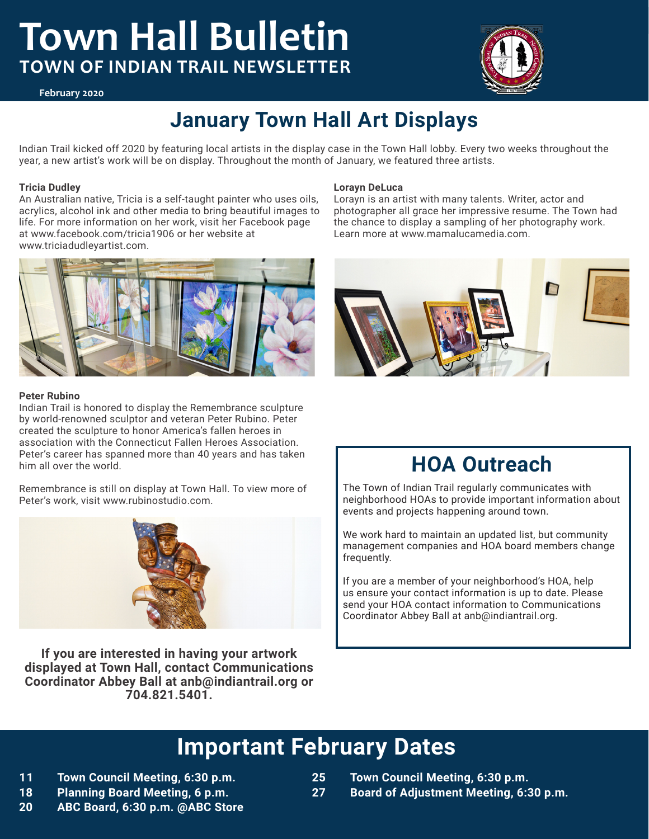# **Town Hall Bulletin TOWN OF INDIAN TRAIL NEWSLETTER**



#### **February 2020**

## **January Town Hall Art Displays**

Indian Trail kicked off 2020 by featuring local artists in the display case in the Town Hall lobby. Every two weeks throughout the year, a new artist's work will be on display. Throughout the month of January, we featured three artists.

#### **Tricia Dudley**

An Australian native, Tricia is a self-taught painter who uses oils, acrylics, alcohol ink and other media to bring beautiful images to life. For more information on her work, visit her Facebook page at www.facebook.com/tricia1906 or her website at www.triciadudleyartist.com.



#### **Peter Rubino**

Indian Trail is honored to display the Remembrance sculpture by world-renowned sculptor and veteran Peter Rubino. Peter created the sculpture to honor America's fallen heroes in association with the Connecticut Fallen Heroes Association. Peter's career has spanned more than 40 years and has taken him all over the world.

Remembrance is still on display at Town Hall. To view more of Peter's work, visit www.rubinostudio.com.



**If you are interested in having your artwork displayed at Town Hall, contact Communications Coordinator Abbey Ball at anb@indiantrail.org or 704.821.5401.** 

#### **Lorayn DeLuca**

Lorayn is an artist with many talents. Writer, actor and photographer all grace her impressive resume. The Town had the chance to display a sampling of her photography work. Learn more at www.mamalucamedia.com.



## **HOA Outreach**

The Town of Indian Trail regularly communicates with neighborhood HOAs to provide important information about events and projects happening around town.

We work hard to maintain an updated list, but community management companies and HOA board members change frequently.

If you are a member of your neighborhood's HOA, help us ensure your contact information is up to date. Please send your HOA contact information to Communications Coordinator Abbey Ball at anb@indiantrail.org.

## **Important February Dates**

- **11 Town Council Meeting, 6:30 p.m.**
- **18 Planning Board Meeting, 6 p.m.**
- **20 ABC Board, 6:30 p.m. @ABC Store**
- **25 Town Council Meeting, 6:30 p.m.**
- **27 Board of Adjustment Meeting, 6:30 p.m.**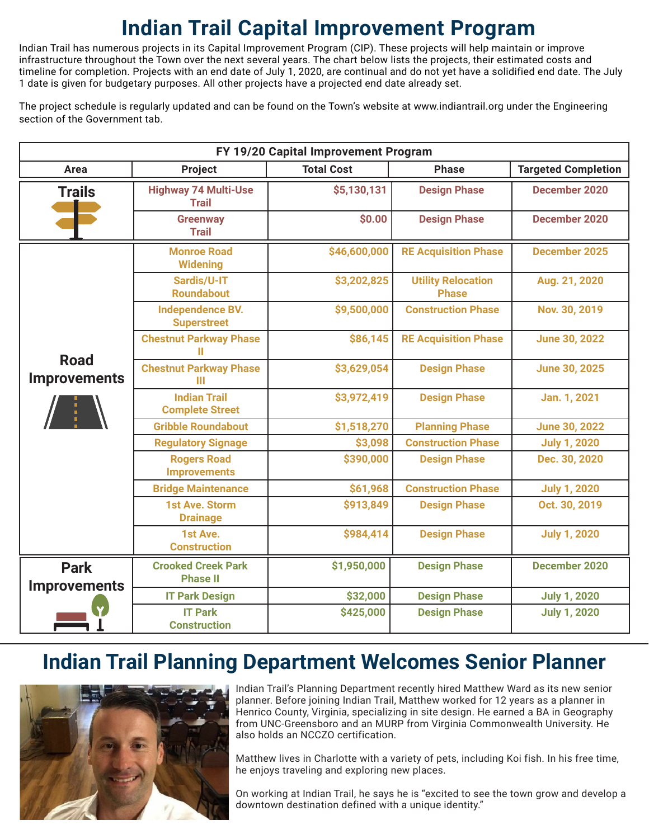# **Indian Trail Capital Improvement Program**

Indian Trail has numerous projects in its Capital Improvement Program (CIP). These projects will help maintain or improve infrastructure throughout the Town over the next several years. The chart below lists the projects, their estimated costs and timeline for completion. Projects with an end date of July 1, 2020, are continual and do not yet have a solidified end date. The July 1 date is given for budgetary purposes. All other projects have a projected end date already set.

The project schedule is regularly updated and can be found on the Town's website at www.indiantrail.org under the Engineering section of the Government tab.

| FY 19/20 Capital Improvement Program |                                               |                   |                                           |                            |
|--------------------------------------|-----------------------------------------------|-------------------|-------------------------------------------|----------------------------|
| Area                                 | Project                                       | <b>Total Cost</b> | <b>Phase</b>                              | <b>Targeted Completion</b> |
| <b>Trails</b>                        | <b>Highway 74 Multi-Use</b><br><b>Trail</b>   | \$5,130,131       | <b>Design Phase</b>                       | December 2020              |
|                                      | <b>Greenway</b><br><b>Trail</b>               | \$0.00            | <b>Design Phase</b>                       | December 2020              |
|                                      | <b>Monroe Road</b><br><b>Widening</b>         | \$46,600,000      | <b>RE Acquisition Phase</b>               | December 2025              |
| <b>Road</b>                          | Sardis/U-IT<br><b>Roundabout</b>              | \$3,202,825       | <b>Utility Relocation</b><br><b>Phase</b> | Aug. 21, 2020              |
|                                      | <b>Independence BV.</b><br><b>Superstreet</b> | \$9,500,000       | <b>Construction Phase</b>                 | Nov. 30, 2019              |
|                                      | <b>Chestnut Parkway Phase</b><br>Ш            | \$86,145          | <b>RE Acquisition Phase</b>               | <b>June 30, 2022</b>       |
| <b>Improvements</b>                  | <b>Chestnut Parkway Phase</b><br>Ш            | \$3,629,054       | <b>Design Phase</b>                       | <b>June 30, 2025</b>       |
|                                      | <b>Indian Trail</b><br><b>Complete Street</b> | \$3,972,419       | <b>Design Phase</b>                       | Jan. 1, 2021               |
|                                      | <b>Gribble Roundabout</b>                     | \$1,518,270       | <b>Planning Phase</b>                     | <b>June 30, 2022</b>       |
|                                      | <b>Regulatory Signage</b>                     | \$3,098           | <b>Construction Phase</b>                 | <b>July 1, 2020</b>        |
|                                      | <b>Rogers Road</b><br><b>Improvements</b>     | \$390,000         | <b>Design Phase</b>                       | Dec. 30, 2020              |
|                                      | <b>Bridge Maintenance</b>                     | \$61,968          | <b>Construction Phase</b>                 | <b>July 1, 2020</b>        |
|                                      | <b>1st Ave. Storm</b><br><b>Drainage</b>      | \$913,849         | <b>Design Phase</b>                       | Oct. 30, 2019              |
|                                      | 1st Ave.<br><b>Construction</b>               | \$984,414         | <b>Design Phase</b>                       | <b>July 1, 2020</b>        |
| <b>Park</b>                          | <b>Crooked Creek Park</b><br><b>Phase II</b>  | \$1,950,000       | <b>Design Phase</b>                       | <b>December 2020</b>       |
| <b>Improvements</b>                  | <b>IT Park Design</b>                         | \$32,000          | <b>Design Phase</b>                       | <b>July 1, 2020</b>        |
|                                      | <b>IT Park</b><br><b>Construction</b>         | \$425,000         | <b>Design Phase</b>                       | <b>July 1, 2020</b>        |

## **Indian Trail Planning Department Welcomes Senior Planner**



Indian Trail's Planning Department recently hired Matthew Ward as its new senior planner. Before joining Indian Trail, Matthew worked for 12 years as a planner in Henrico County, Virginia, specializing in site design. He earned a BA in Geography from UNC-Greensboro and an MURP from Virginia Commonwealth University. He also holds an NCCZO certification.

Matthew lives in Charlotte with a variety of pets, including Koi fish. In his free time, he enjoys traveling and exploring new places.

On working at Indian Trail, he says he is "excited to see the town grow and develop a downtown destination defined with a unique identity."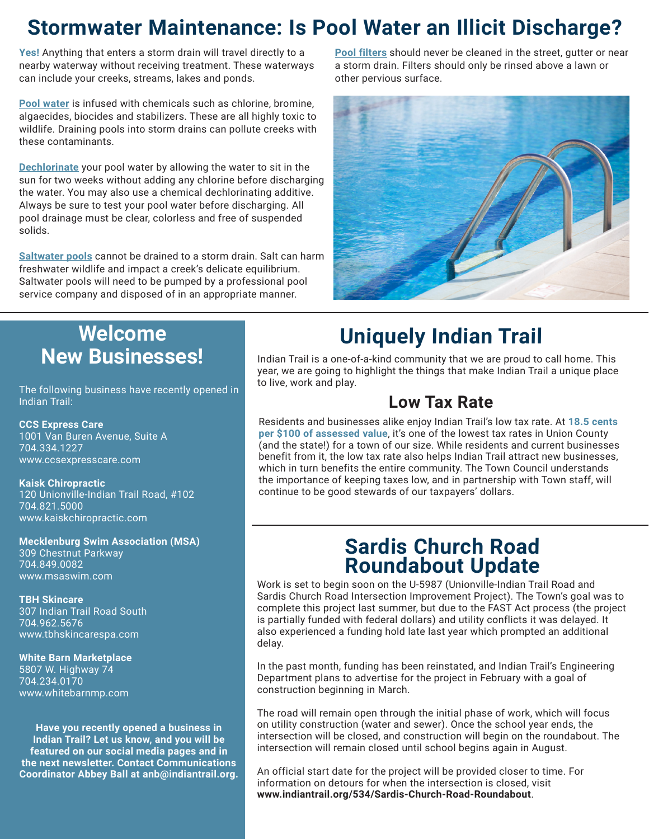## **Stormwater Maintenance: Is Pool Water an Illicit Discharge?**

**Yes!** Anything that enters a storm drain will travel directly to a nearby waterway without receiving treatment. These waterways can include your creeks, streams, lakes and ponds.

**Pool water** is infused with chemicals such as chlorine, bromine, algaecides, biocides and stabilizers. These are all highly toxic to wildlife. Draining pools into storm drains can pollute creeks with these contaminants.

**Dechlorinate** your pool water by allowing the water to sit in the sun for two weeks without adding any chlorine before discharging the water. You may also use a chemical dechlorinating additive. Always be sure to test your pool water before discharging. All pool drainage must be clear, colorless and free of suspended solids.

**Saltwater pools** cannot be drained to a storm drain. Salt can harm freshwater wildlife and impact a creek's delicate equilibrium. Saltwater pools will need to be pumped by a professional pool service company and disposed of in an appropriate manner.

**Pool filters** should never be cleaned in the street, gutter or near a storm drain. Filters should only be rinsed above a lawn or other pervious surface.



## **Welcome New Businesses!**

The following business have recently opened in Indian Trail:

**CCS Express Care** 1001 Van Buren Avenue, Suite A 704.334.1227 www.ccsexpresscare.com

**Kaisk Chiropractic** 120 Unionville-Indian Trail Road, #102 704.821.5000 www.kaiskchiropractic.com

**Mecklenburg Swim Association (MSA)** 309 Chestnut Parkway 704.849.0082 www.msaswim.com

**TBH Skincare** 307 Indian Trail Road South 704.962.5676 www.tbhskincarespa.com

#### **White Barn Marketplace**

5807 W. Highway 74 704.234.0170 www.whitebarnmp.com

**Have you recently opened a business in Indian Trail? Let us know, and you will be featured on our social media pages and in the next newsletter. Contact Communications Coordinator Abbey Ball at anb@indiantrail.org.** 

# **Uniquely Indian Trail**

Indian Trail is a one-of-a-kind community that we are proud to call home. This year, we are going to highlight the things that make Indian Trail a unique place to live, work and play.

### **Low Tax Rate**

Residents and businesses alike enjoy Indian Trail's low tax rate. At **18.5 cents per \$100 of assessed value**, it's one of the lowest tax rates in Union County (and the state!) for a town of our size. While residents and current businesses benefit from it, the low tax rate also helps Indian Trail attract new businesses, which in turn benefits the entire community. The Town Council understands the importance of keeping taxes low, and in partnership with Town staff, will continue to be good stewards of our taxpayers' dollars.

### **Sardis Church Road Roundabout Update**

Work is set to begin soon on the U-5987 (Unionville-Indian Trail Road and Sardis Church Road Intersection Improvement Project). The Town's goal was to complete this project last summer, but due to the FAST Act process (the project is partially funded with federal dollars) and utility conflicts it was delayed. It also experienced a funding hold late last year which prompted an additional delay.

In the past month, funding has been reinstated, and Indian Trail's Engineering Department plans to advertise for the project in February with a goal of construction beginning in March.

The road will remain open through the initial phase of work, which will focus on utility construction (water and sewer). Once the school year ends, the intersection will be closed, and construction will begin on the roundabout. The intersection will remain closed until school begins again in August.

An official start date for the project will be provided closer to time. For information on detours for when the intersection is closed, visit **www.indiantrail.org/534/Sardis-Church-Road-Roundabout**.